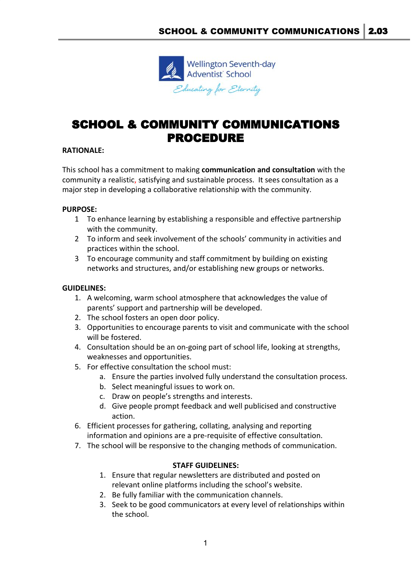

# SCHOOL & COMMUNITY COMMUNICATIONS PROCEDURE

## **RATIONALE:**

This school has a commitment to making **communication and consultation** with the community a realistic, satisfying and sustainable process. It sees consultation as a major step in developing a collaborative relationship with the community.

### **PURPOSE:**

- 1 To enhance learning by establishing a responsible and effective partnership with the community.
- 2 To inform and seek involvement of the schools' community in activities and practices within the school.
- 3 To encourage community and staff commitment by building on existing networks and structures, and/or establishing new groups or networks.

### **GUIDELINES:**

- 1. A welcoming, warm school atmosphere that acknowledges the value of parents' support and partnership will be developed.
- 2. The school fosters an open door policy.
- 3. Opportunities to encourage parents to visit and communicate with the school will be fostered.
- 4. Consultation should be an on-going part of school life, looking at strengths, weaknesses and opportunities.
- 5. For effective consultation the school must:
	- a. Ensure the parties involved fully understand the consultation process.
	- b. Select meaningful issues to work on.
	- c. Draw on people's strengths and interests.
	- d. Give people prompt feedback and well publicised and constructive action.
- 6. Efficient processes for gathering, collating, analysing and reporting information and opinions are a pre-requisite of effective consultation.
- 7. The school will be responsive to the changing methods of communication.

### **STAFF GUIDELINES:**

- 1. Ensure that regular newsletters are distributed and posted on relevant online platforms including the school's website.
- 2. Be fully familiar with the communication channels.
- 3. Seek to be good communicators at every level of relationships within the school.